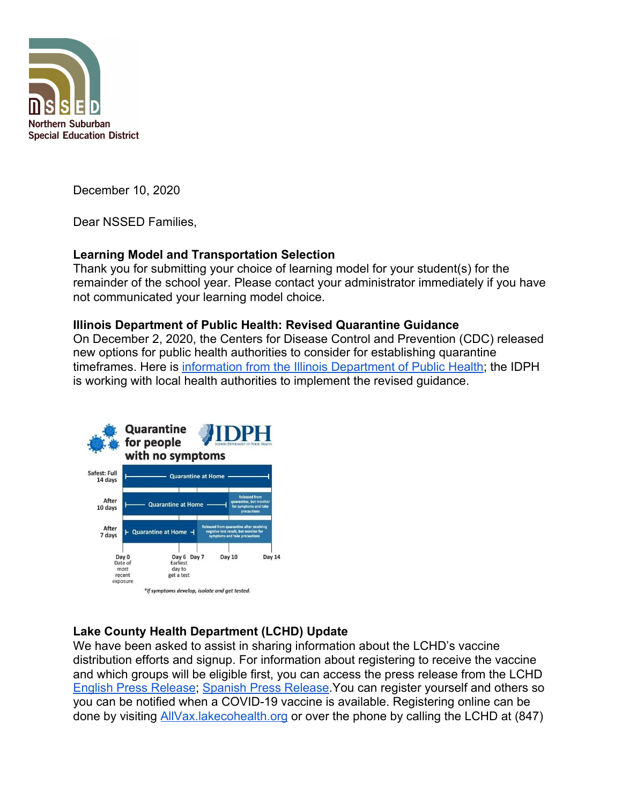

December 10, 2020

Dear NSSED Families,

## **Learning Model and Transportation Selection**

Thank you for submitting your choice of learning model for your student(s) for the remainder of the school year. Please contact your administrator immediately if you have not communicated your learning model choice.

## **Illinois Department of Public Health: Revised Quarantine Guidance**

On December 2, 2020, the Centers for Disease Control and Prevention (CDC) released new options for public health authorities to consider for establishing quarantine timeframes. Here is [information from the Illinois Department of Public Health](https://www.dph.illinois.gov/sites/default/files/Quarantine%20guidance%2012.07.20.pdf); the IDPH is working with local health authorities to implement the revised guidance.



## **Lake County Health Department (LCHD) Update**

We have been asked to assist in sharing information about the LCHD's vaccine distribution efforts and signup. For information about registering to receive the vaccine and which groups will be eligible first, you can access the press release from the LCHD [English Press Release;](https://content.govdelivery.com/accounts/ILLAKE/bulletins/2b04696?fbclid=IwAR1t65YUrX1yOqr0hAIWix9VNNsUTT30ASXYc7iLGdE2sVK8pnq2frlPDCA) [Spanish Press Release](https://content.govdelivery.com/accounts/ILLAKE/bulletins/2b046a8?fbclid=IwAR2zwTCmAMAGPWE2mpLxVb8kkpgXR-lG6jdxU7XXFMtVPUBCuR6CiuTeS64).You can register yourself and others so you can be notified when a COVID-19 vaccine is available. Registering online can be done by visiting [AllVax.lakecohealth.org](https://allvax.lakecohealth.org/s/?language=en_US) or over the phone by calling the LCHD at (847)